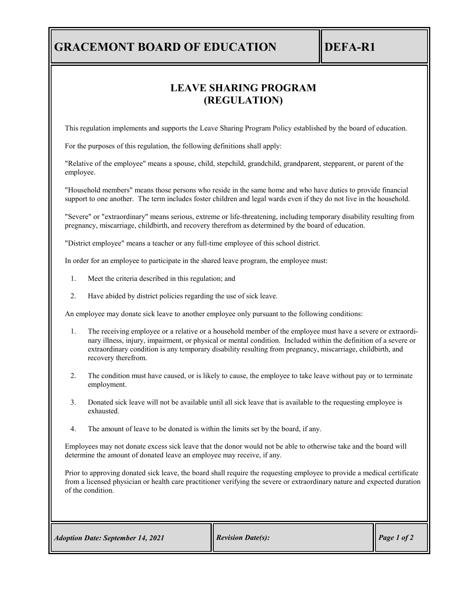## **GRACEMONT BOARD OF EDUCATION IDEFA-R1**

## **LEAVE SHARING PROGRAM (REGULATION)**

This regulation implements and supports the Leave Sharing Program Policy established by the board of education.

For the purposes of this regulation, the following definitions shall apply:

"Relative of the employee" means a spouse, child, stepchild, grandchild, grandparent, stepparent, or parent of the employee.

"Household members" means those persons who reside in the same home and who have duties to provide financial support to one another. The term includes foster children and legal wards even if they do not live in the household.

"Severe" or "extraordinary" means serious, extreme or life-threatening, including temporary disability resulting from pregnancy, miscarriage, childbirth, and recovery therefrom as determined by the board of education.

"District employee" means a teacher or any full-time employee of this school district.

In order for an employee to participate in the shared leave program, the employee must:

- 1. Meet the criteria described in this regulation; and
- 2. Have abided by district policies regarding the use of sick leave.

An employee may donate sick leave to another employee only pursuant to the following conditions:

- 1. The receiving employee or a relative or a household member of the employee must have a severe or extraordinary illness, injury, impairment, or physical or mental condition. Included within the definition of a severe or extraordinary condition is any temporary disability resulting from pregnancy, miscarriage, childbirth, and recovery therefrom.
- 2. The condition must have caused, or is likely to cause, the employee to take leave without pay or to terminate employment.
- 3. Donated sick leave will not be available until all sick leave that is available to the requesting employee is exhausted.
- 4. The amount of leave to be donated is within the limits set by the board, if any.

Employees may not donate excess sick leave that the donor would not be able to otherwise take and the board will determine the amount of donated leave an employee may receive, if any.

Prior to approving donated sick leave, the board shall require the requesting employee to provide a medical certificate from a licensed physician or health care practitioner verifying the severe or extraordinary nature and expected duration of the condition.

*Adoption Date: September 14, 2021 Revision Date(s): Revision Date(s): Revision Date(s): Page 1 of 2*